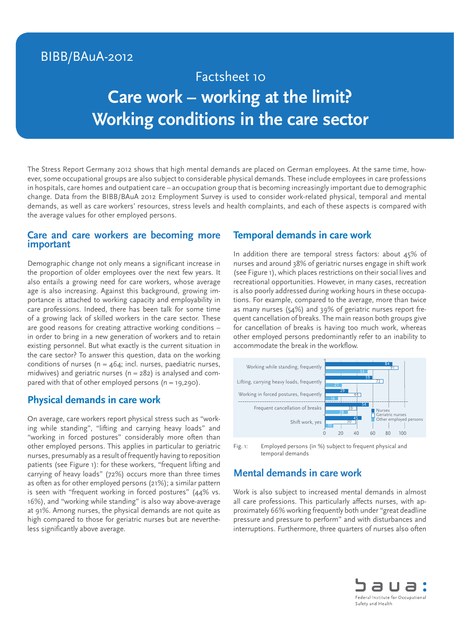# BIBB/BAuA-2012

# Factsheet 10 **Care work – working at the limit? Working conditions in the care sector**

The Stress Report Germany 2012 shows that high mental demands are placed on German employees. At the same time, however, some occupational groups are also subject to considerable physical demands. These include employees in care professions in hospitals, care homes and outpatient care – an occupation group that is becoming increasingly important due to demographic change. Data from the BIBB/BAuA 2012 Employment Survey is used to consider work-related physical, temporal and mental demands, as well as care workers' resources, stress levels and health complaints, and each of these aspects is compared with the average values for other employed persons.

#### **Care and care workers are becoming more important**

Demographic change not only means a significant increase in the proportion of older employees over the next few years. It also entails a growing need for care workers, whose average age is also increasing. Against this background, growing importance is attached to working capacity and employability in care professions. Indeed, there has been talk for some time of a growing lack of skilled workers in the care sector. These are good reasons for creating attractive working conditions – in order to bring in a new generation of workers and to retain existing personnel. But what exactly is the current situation in the care sector? To answer this question, data on the working conditions of nurses ( $n = 464$ ; incl. nurses, paediatric nurses, midwives) and geriatric nurses ( $n = 282$ ) is analysed and compared with that of other employed persons  $(n = 19,290)$ .

## **Physical demands in care work**

On average, care workers report physical stress such as "working while standing", "lifting and carrying heavy loads" and "working in forced postures" considerably more often than other employed persons. This applies in particular to geriatric nurses, presumably as a result of frequently having to reposition patients (see Figure 1): for these workers, "frequent lifting and carrying of heavy loads" (72%) occurs more than three times as often as for other employed persons (21%); a similar pattern is seen with "frequent working in forced postures" (44% vs. 16%), and "working while standing" is also way above-average at 91%. Among nurses, the physical demands are not quite as high compared to those for geriatric nurses but are nevertheless significantly above average.

#### **Temporal demands in care work**

In addition there are temporal stress factors: about 45% of nurses and around 38% of geriatric nurses engage in shift work (see Figure 1), which places restrictions on their social lives and recreational opportunities. However, in many cases, recreation is also poorly addressed during working hours in these occupations. For example, compared to the average, more than twice as many nurses (54%) and 39% of geriatric nurses report frequent cancellation of breaks. The main reason both groups give for cancellation of breaks is having too much work, whereas other employed persons predominantly refer to an inability to accommodate the break in the workflow.



Fig. 1: Employed persons (in %) subject to frequent physical and temporal demands

# **Mental demands in care work**

Work is also subject to increased mental demands in almost all care professions. This particularly affects nurses, with approximately 66% working frequently both under "great deadline pressure and pressure to perform" and with disturbances and interruptions. Furthermore, three quarters of nurses also often